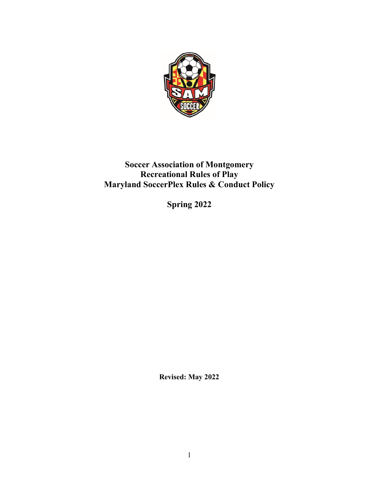

# Soccer Association of Montgomery Recreational Rules of Play Maryland SoccerPlex Rules & Conduct Policy

Spring 2022

Revised: May 2022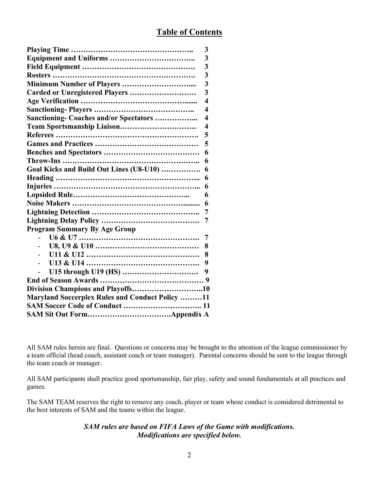| 3                                                                 |  |  |  |
|-------------------------------------------------------------------|--|--|--|
| 3                                                                 |  |  |  |
| $\overline{\mathbf{3}}$                                           |  |  |  |
| $\overline{3}$                                                    |  |  |  |
| $\overline{3}$                                                    |  |  |  |
| $\overline{3}$<br>Carded or Unregistered Players                  |  |  |  |
| $\overline{\mathbf{4}}$                                           |  |  |  |
| $\overline{\mathbf{4}}$                                           |  |  |  |
| Sanctioning- Coaches and/or Spectators<br>$\overline{\mathbf{4}}$ |  |  |  |
| Team Sportsmanship Liaison<br>$\overline{\mathbf{4}}$             |  |  |  |
| 5                                                                 |  |  |  |
| 5                                                                 |  |  |  |
| 6                                                                 |  |  |  |
| 6                                                                 |  |  |  |
| Goal Kicks and Build Out Lines (U8-U10)<br>6                      |  |  |  |
| 6                                                                 |  |  |  |
| 6                                                                 |  |  |  |
| 6                                                                 |  |  |  |
| 6                                                                 |  |  |  |
| 7                                                                 |  |  |  |
| 7                                                                 |  |  |  |
| <b>Program Summary By Age Group</b>                               |  |  |  |
| 7                                                                 |  |  |  |
| 8                                                                 |  |  |  |
| 8<br>$\overline{a}$                                               |  |  |  |
| 9                                                                 |  |  |  |
| 9                                                                 |  |  |  |
|                                                                   |  |  |  |
|                                                                   |  |  |  |
| <b>Maryland Soccerplex Rules and Conduct Policy 11</b>            |  |  |  |
|                                                                   |  |  |  |
|                                                                   |  |  |  |

All SAM rules herein are final. Questions or concerns may be brought to the attention of the league commissioner by a team official (head coach, assistant coach or team manager). Parental concerns should be sent to the league through the team coach or manager.

All SAM participants shall practice good sportsmanship, fair play, safety and sound fundamentals at all practices and games.

The SAM TEAM reserves the right to remove any coach, player or team whose conduct is considered detrimental to the best interests of SAM and the teams within the league.

## SAM rules are based on FIFA Laws of the Game with modifications. Modifications are specified below.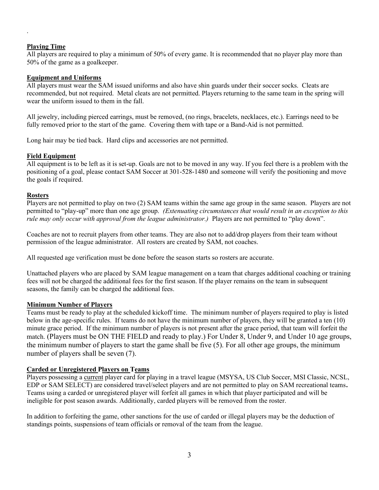#### Playing Time

.

All players are required to play a minimum of 50% of every game. It is recommended that no player play more than 50% of the game as a goalkeeper.

#### Equipment and Uniforms

All players must wear the SAM issued uniforms and also have shin guards under their soccer socks. Cleats are recommended, but not required. Metal cleats are not permitted. Players returning to the same team in the spring will wear the uniform issued to them in the fall.

All jewelry, including pierced earrings, must be removed, (no rings, bracelets, necklaces, etc.). Earrings need to be fully removed prior to the start of the game. Covering them with tape or a Band-Aid is not permitted.

Long hair may be tied back. Hard clips and accessories are not permitted.

#### Field Equipment

All equipment is to be left as it is set-up. Goals are not to be moved in any way. If you feel there is a problem with the positioning of a goal, please contact SAM Soccer at 301-528-1480 and someone will verify the positioning and move the goals if required.

#### Rosters

Players are not permitted to play on two (2) SAM teams within the same age group in the same season. Players are not permitted to "play-up" more than one age group. (Extenuating circumstances that would result in an exception to this rule may only occur with approval from the league administrator.) Players are not permitted to "play down".

Coaches are not to recruit players from other teams. They are also not to add/drop players from their team without permission of the league administrator. All rosters are created by SAM, not coaches.

All requested age verification must be done before the season starts so rosters are accurate.

Unattached players who are placed by SAM league management on a team that charges additional coaching or training fees will not be charged the additional fees for the first season. If the player remains on the team in subsequent seasons, the family can be charged the additional fees.

#### Minimum Number of Players

Teams must be ready to play at the scheduled kickoff time. The minimum number of players required to play is listed below in the age-specific rules. If teams do not have the minimum number of players, they will be granted a ten (10) minute grace period. If the minimum number of players is not present after the grace period, that team will forfeit the match. (Players must be ON THE FIELD and ready to play.) For Under 8, Under 9, and Under 10 age groups, the minimum number of players to start the game shall be five (5). For all other age groups, the minimum number of players shall be seven (7).

## Carded or Unregistered Players on Teams

Players possessing a current player card for playing in a travel league (MSYSA, US Club Soccer, MSI Classic, NCSL, EDP or SAM SELECT) are considered travel/select players and are not permitted to play on SAM recreational teams. Teams using a carded or unregistered player will forfeit all games in which that player participated and will be ineligible for post season awards. Additionally, carded players will be removed from the roster.

In addition to forfeiting the game, other sanctions for the use of carded or illegal players may be the deduction of standings points, suspensions of team officials or removal of the team from the league.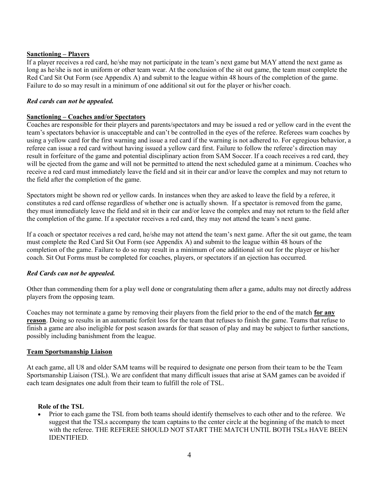#### Sanctioning – Players

If a player receives a red card, he/she may not participate in the team's next game but MAY attend the next game as long as he/she is not in uniform or other team wear. At the conclusion of the sit out game, the team must complete the Red Card Sit Out Form (see Appendix A) and submit to the league within 48 hours of the completion of the game. Failure to do so may result in a minimum of one additional sit out for the player or his/her coach.

#### Red cards can not be appealed.

#### Sanctioning – Coaches and/or Spectators

Coaches are responsible for their players and parents/spectators and may be issued a red or yellow card in the event the team's spectators behavior is unacceptable and can't be controlled in the eyes of the referee. Referees warn coaches by using a yellow card for the first warning and issue a red card if the warning is not adhered to. For egregious behavior, a referee can issue a red card without having issued a yellow card first. Failure to follow the referee's direction may result in forfeiture of the game and potential disciplinary action from SAM Soccer. If a coach receives a red card, they will be ejected from the game and will not be permitted to attend the next scheduled game at a minimum. Coaches who receive a red card must immediately leave the field and sit in their car and/or leave the complex and may not return to the field after the completion of the game.

Spectators might be shown red or yellow cards. In instances when they are asked to leave the field by a referee, it constitutes a red card offense regardless of whether one is actually shown. If a spectator is removed from the game, they must immediately leave the field and sit in their car and/or leave the complex and may not return to the field after the completion of the game. If a spectator receives a red card, they may not attend the team's next game.

If a coach or spectator receives a red card, he/she may not attend the team's next game. After the sit out game, the team must complete the Red Card Sit Out Form (see Appendix A) and submit to the league within 48 hours of the completion of the game. Failure to do so may result in a minimum of one additional sit out for the player or his/her coach. Sit Out Forms must be completed for coaches, players, or spectators if an ejection has occurred.

#### Red Cards can not be appealed.

Other than commending them for a play well done or congratulating them after a game, adults may not directly address players from the opposing team.

Coaches may not terminate a game by removing their players from the field prior to the end of the match for any reason. Doing so results in an automatic forfeit loss for the team that refuses to finish the game. Teams that refuse to finish a game are also ineligible for post season awards for that season of play and may be subject to further sanctions, possibly including banishment from the league.

#### Team Sportsmanship Liaison

At each game, all U8 and older SAM teams will be required to designate one person from their team to be the Team Sportsmanship Liaison (TSL). We are confident that many difficult issues that arise at SAM games can be avoided if each team designates one adult from their team to fulfill the role of TSL.

#### Role of the TSL

• Prior to each game the TSL from both teams should identify themselves to each other and to the referee. We suggest that the TSLs accompany the team captains to the center circle at the beginning of the match to meet with the referee. THE REFEREE SHOULD NOT START THE MATCH UNTIL BOTH TSLs HAVE BEEN IDENTIFIED.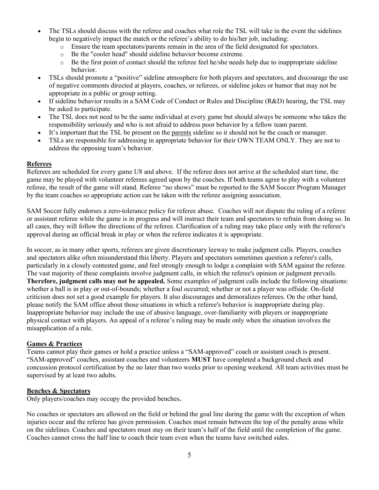- The TSLs should discuss with the referee and coaches what role the TSL will take in the event the sidelines begin to negatively impact the match or the referee's ability to do his/her job, including:
	- o Ensure the team spectators/parents remain in the area of the field designated for spectators.
	- o Be the "cooler head" should sideline behavior become extreme.
	- o Be the first point of contact should the referee feel he/she needs help due to inappropriate sideline behavior.
- TSLs should promote a "positive" sideline atmosphere for both players and spectators, and discourage the use of negative comments directed at players, coaches, or referees, or sideline jokes or humor that may not be appropriate in a public or group setting.
- If sideline behavior results in a SAM Code of Conduct or Rules and Discipline  $(R&D)$  hearing, the TSL may be asked to participate.
- The TSL does not need to be the same individual at every game but should always be someone who takes the responsibility seriously and who is not afraid to address poor behavior by a fellow team parent.
- It's important that the TSL be present on the parents sideline so it should not be the coach or manager.
- TSLs are responsible for addressing in appropriate behavior for their OWN TEAM ONLY. They are not to address the opposing team's behavior.

#### Referees

Referees are scheduled for every game U8 and above. If the referee does not arrive at the scheduled start time, the game may be played with volunteer referees agreed upon by the coaches. If both teams agree to play with a volunteer referee, the result of the game will stand. Referee "no shows" must be reported to the SAM Soccer Program Manager by the team coaches so appropriate action can be taken with the referee assigning association.

SAM Soccer fully endorses a zero-tolerance policy for referee abuse. Coaches will not dispute the ruling of a referee or assistant referee while the game is in progress and will instruct their team and spectators to refrain from doing so. In all cases, they will follow the directions of the referee. Clarification of a ruling may take place only with the referee's approval during an official break in play or when the referee indicates it is appropriate.

In soccer, as in many other sports, referees are given discretionary leeway to make judgment calls. Players, coaches and spectators alike often misunderstand this liberty. Players and spectators sometimes question a referee's calls, particularly in a closely contested game, and feel strongly enough to lodge a complaint with SAM against the referee. The vast majority of these complaints involve judgment calls, in which the referee's opinion or judgment prevails. Therefore, judgment calls may not be appealed. Some examples of judgment calls include the following situations: whether a ball is in play or out-of-bounds; whether a foul occurred; whether or not a player was offside. On-field criticism does not set a good example for players. It also discourages and demoralizes referees. On the other hand, please notify the SAM office about those situations in which a referee's behavior is inappropriate during play. Inappropriate behavior may include the use of abusive language, over-familiarity with players or inappropriate physical contact with players. An appeal of a referee's ruling may be made only when the situation involves the misapplication of a rule.

#### Games & Practices

Teams cannot play their games or hold a practice unless a "SAM-approved" coach or assistant coach is present. "SAM-approved" coaches, assistant coaches and volunteers MUST have completed a background check and concussion protocol certification by the no later than two weeks prior to opening weekend. All team activities must be supervised by at least two adults.

#### Benches & Spectators

Only players/coaches may occupy the provided benches.

No coaches or spectators are allowed on the field or behind the goal line during the game with the exception of when injuries occur and the referee has given permission. Coaches must remain between the top of the penalty areas while on the sidelines. Coaches and spectators must stay on their team's half of the field until the completion of the game. Coaches cannot cross the half line to coach their team even when the teams have switched sides.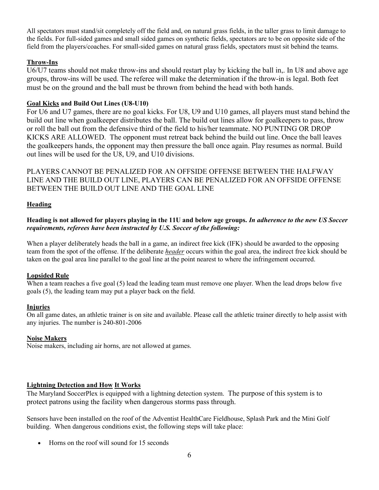All spectators must stand/sit completely off the field and, on natural grass fields, in the taller grass to limit damage to the fields. For full-sided games and small sided games on synthetic fields, spectators are to be on opposite side of the field from the players/coaches. For small-sided games on natural grass fields, spectators must sit behind the teams.

## Throw-Ins

U6/U7 teams should not make throw-ins and should restart play by kicking the ball in,. In U8 and above age groups, throw-ins will be used. The referee will make the determination if the throw-in is legal. Both feet must be on the ground and the ball must be thrown from behind the head with both hands.

#### Goal Kicks and Build Out Lines (U8-U10)

For U6 and U7 games, there are no goal kicks. For U8, U9 and U10 games, all players must stand behind the build out line when goalkeeper distributes the ball. The build out lines allow for goalkeepers to pass, throw or roll the ball out from the defensive third of the field to his/her teammate. NO PUNTING OR DROP KICKS ARE ALLOWED. The opponent must retreat back behind the build out line. Once the ball leaves the goalkeepers hands, the opponent may then pressure the ball once again. Play resumes as normal. Build out lines will be used for the U8, U9, and U10 divisions.

PLAYERS CANNOT BE PENALIZED FOR AN OFFSIDE OFFENSE BETWEEN THE HALFWAY LINE AND THE BUILD OUT LINE, PLAYERS CAN BE PENALIZED FOR AN OFFSIDE OFFENSE BETWEEN THE BUILD OUT LINE AND THE GOAL LINE

#### Heading

#### Heading is not allowed for players playing in the 11U and below age groups. In adherence to the new US Soccer requirements, referees have been instructed by U.S. Soccer of the following:

When a player deliberately heads the ball in a game, an indirect free kick (IFK) should be awarded to the opposing team from the spot of the offense. If the deliberate *header* occurs within the goal area, the indirect free kick should be taken on the goal area line parallel to the goal line at the point nearest to where the infringement occurred.

#### Lopsided Rule

When a team reaches a five goal (5) lead the leading team must remove one player. When the lead drops below five goals (5), the leading team may put a player back on the field.

#### Injuries

On all game dates, an athletic trainer is on site and available. Please call the athletic trainer directly to help assist with any injuries. The number is 240-801-2006

#### Noise Makers

Noise makers, including air horns, are not allowed at games.

#### Lightning Detection and How It Works

The Maryland SoccerPlex is equipped with a lightning detection system. The purpose of this system is to protect patrons using the facility when dangerous storms pass through.

Sensors have been installed on the roof of the Adventist HealthCare Fieldhouse, Splash Park and the Mini Golf building. When dangerous conditions exist, the following steps will take place:

• Horns on the roof will sound for 15 seconds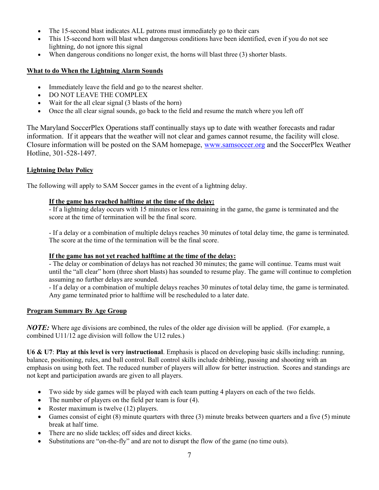- The 15-second blast indicates ALL patrons must immediately go to their cars
- This 15-second horn will blast when dangerous conditions have been identified, even if you do not see lightning, do not ignore this signal
- When dangerous conditions no longer exist, the horns will blast three (3) shorter blasts.

## What to do When the Lightning Alarm Sounds

- Immediately leave the field and go to the nearest shelter.
- DO NOT LEAVE THE COMPLEX
- Wait for the all clear signal (3 blasts of the horn)
- Once the all clear signal sounds, go back to the field and resume the match where you left off

The Maryland SoccerPlex Operations staff continually stays up to date with weather forecasts and radar information. If it appears that the weather will not clear and games cannot resume, the facility will close. Closure information will be posted on the SAM homepage, www.samsoccer.org and the SoccerPlex Weather Hotline, 301-528-1497.

## Lightning Delay Policy

The following will apply to SAM Soccer games in the event of a lightning delay.

## If the game has reached halftime at the time of the delay:

- If a lightning delay occurs with 15 minutes or less remaining in the game, the game is terminated and the score at the time of termination will be the final score.

- If a delay or a combination of multiple delays reaches 30 minutes of total delay time, the game is terminated. The score at the time of the termination will be the final score.

## If the game has not yet reached halftime at the time of the delay:

- The delay or combination of delays has not reached 30 minutes; the game will continue. Teams must wait until the "all clear" horn (three short blasts) has sounded to resume play. The game will continue to completion assuming no further delays are sounded.

- If a delay or a combination of multiple delays reaches 30 minutes of total delay time, the game is terminated. Any game terminated prior to halftime will be rescheduled to a later date.

## Program Summary By Age Group

**NOTE:** Where age divisions are combined, the rules of the older age division will be applied. (For example, a combined U11/12 age division will follow the U12 rules.)

U6 & U7: Play at this level is very instructional. Emphasis is placed on developing basic skills including: running, balance, positioning, rules, and ball control. Ball control skills include dribbling, passing and shooting with an emphasis on using both feet. The reduced number of players will allow for better instruction. Scores and standings are not kept and participation awards are given to all players.

- Two side by side games will be played with each team putting 4 players on each of the two fields.
- The number of players on the field per team is four (4).
- Roster maximum is twelve (12) players.
- Games consist of eight (8) minute quarters with three (3) minute breaks between quarters and a five (5) minute break at half time.
- There are no slide tackles; off sides and direct kicks.
- Substitutions are "on-the-fly" and are not to disrupt the flow of the game (no time outs).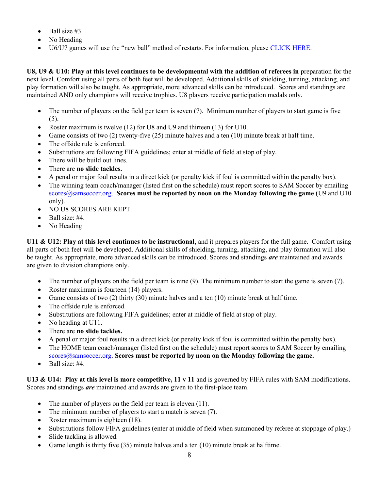- $\bullet$  Ball size #3.
- No Heading
- U6/U7 games will use the "new ball" method of restarts. For information, please CLICK HERE.

U8, U9  $\&$  U10: Play at this level continues to be developmental with the addition of referees in preparation for the next level. Comfort using all parts of both feet will be developed. Additional skills of shielding, turning, attacking, and play formation will also be taught. As appropriate, more advanced skills can be introduced. Scores and standings are maintained AND only champions will receive trophies. U8 players receive participation medals only.

- The number of players on the field per team is seven (7). Minimum number of players to start game is five  $(5)$ .
- Roster maximum is twelve (12) for U8 and U9 and thirteen (13) for U10.
- Game consists of two (2) twenty-five (25) minute halves and a ten (10) minute break at half time.
- The offside rule is enforced.
- Substitutions are following FIFA guidelines; enter at middle of field at stop of play.
- There will be build out lines.
- There are no slide tackles.
- A penal or major foul results in a direct kick (or penalty kick if foul is committed within the penalty box).
- The winning team coach/manager (listed first on the schedule) must report scores to SAM Soccer by emailing  $\frac{scores(a)}{samsoccer.org}$ . Scores must be reported by noon on the Monday following the game (U9 and U10 only).
- NO U8 SCORES ARE KEPT.
- $\bullet$  Ball size: #4.
- No Heading

U11 & U12: Play at this level continues to be instructional, and it prepares players for the full game. Comfort using all parts of both feet will be developed. Additional skills of shielding, turning, attacking, and play formation will also be taught. As appropriate, more advanced skills can be introduced. Scores and standings *are* maintained and awards are given to division champions only.

- The number of players on the field per team is nine (9). The minimum number to start the game is seven (7).
- Roster maximum is fourteen (14) players.
- Game consists of two  $(2)$  thirty  $(30)$  minute halves and a ten  $(10)$  minute break at half time.
- The offside rule is enforced.
- Substitutions are following FIFA guidelines; enter at middle of field at stop of play.
- No heading at U11.
- There are no slide tackles.
- A penal or major foul results in a direct kick (or penalty kick if foul is committed within the penalty box).
- The HOME team coach/manager (listed first on the schedule) must report scores to SAM Soccer by emailing  $\frac{s\ncross(a)\nsamsoccer.org.$  Scores must be reported by noon on the Monday following the game.
- $\bullet$  Ball size: #4.

U13 & U14: Play at this level is more competitive,  $11 \text{ v } 11$  and is governed by FIFA rules with SAM modifications. Scores and standings *are* maintained and awards are given to the first-place team.

- The number of players on the field per team is eleven (11).
- The minimum number of players to start a match is seven (7).
- Roster maximum is eighteen (18).
- Substitutions follow FIFA guidelines (enter at middle of field when summoned by referee at stoppage of play.)
- Slide tackling is allowed.
- Game length is thirty five (35) minute halves and a ten (10) minute break at halftime.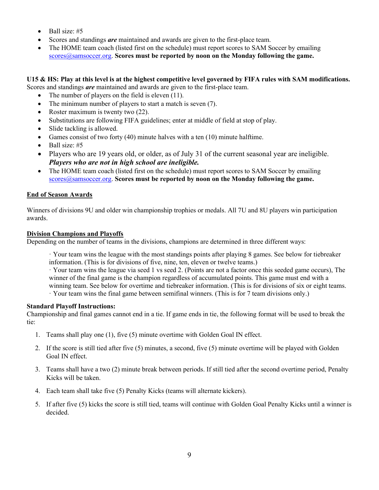- $\bullet$  Ball size: #5
- Scores and standings *are* maintained and awards are given to the first-place team.
- The HOME team coach (listed first on the schedule) must report scores to SAM Soccer by emailing  $\frac{scores}\alpha\$  samsoccer.org. Scores must be reported by noon on the Monday following the game.

U15 & HS: Play at this level is at the highest competitive level governed by FIFA rules with SAM modifications. Scores and standings *are* maintained and awards are given to the first-place team.

- The number of players on the field is eleven (11).
- The minimum number of players to start a match is seven (7).
- Roster maximum is twenty two (22).
- Substitutions are following FIFA guidelines; enter at middle of field at stop of play.
- Slide tackling is allowed.
- Games consist of two forty (40) minute halves with a ten (10) minute halftime.
- $\bullet$  Ball size: #5
- Players who are 19 years old, or older, as of July 31 of the current seasonal year are ineligible. Players who are not in high school are ineligible.
- The HOME team coach (listed first on the schedule) must report scores to SAM Soccer by emailing scores@samsoccer.org. Scores must be reported by noon on the Monday following the game.

## End of Season Awards

Winners of divisions 9U and older win championship trophies or medals. All 7U and 8U players win participation awards.

#### Division Champions and Playoffs

Depending on the number of teams in the divisions, champions are determined in three different ways:

· Your team wins the league with the most standings points after playing 8 games. See below for tiebreaker information. (This is for divisions of five, nine, ten, eleven or twelve teams.)

· Your team wins the league via seed 1 vs seed 2. (Points are not a factor once this seeded game occurs), The winner of the final game is the champion regardless of accumulated points. This game must end with a winning team. See below for overtime and tiebreaker information. (This is for divisions of six or eight teams.

· Your team wins the final game between semifinal winners. (This is for 7 team divisions only.)

## Standard Playoff Instructions:

Championship and final games cannot end in a tie. If game ends in tie, the following format will be used to break the tie:

- 1. Teams shall play one (1), five (5) minute overtime with Golden Goal IN effect.
- 2. If the score is still tied after five (5) minutes, a second, five (5) minute overtime will be played with Golden Goal IN effect.
- 3. Teams shall have a two (2) minute break between periods. If still tied after the second overtime period, Penalty Kicks will be taken.
- 4. Each team shall take five (5) Penalty Kicks (teams will alternate kickers).
- 5. If after five (5) kicks the score is still tied, teams will continue with Golden Goal Penalty Kicks until a winner is decided.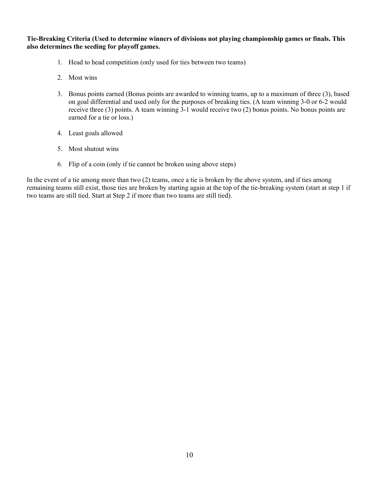Tie-Breaking Criteria (Used to determine winners of divisions not playing championship games or finals. This also determines the seeding for playoff games.

- 1. Head to head competition (only used for ties between two teams)
- 2. Most wins
- 3. Bonus points earned (Bonus points are awarded to winning teams, up to a maximum of three (3), based on goal differential and used only for the purposes of breaking ties. (A team winning 3-0 or 6-2 would receive three (3) points. A team winning 3-1 would receive two (2) bonus points. No bonus points are earned for a tie or loss.)
- 4. Least goals allowed
- 5. Most shutout wins
- 6. Flip of a coin (only if tie cannot be broken using above steps)

In the event of a tie among more than two (2) teams, once a tie is broken by the above system, and if ties among remaining teams still exist, those ties are broken by starting again at the top of the tie-breaking system (start at step 1 if two teams are still tied. Start at Step 2 if more than two teams are still tied).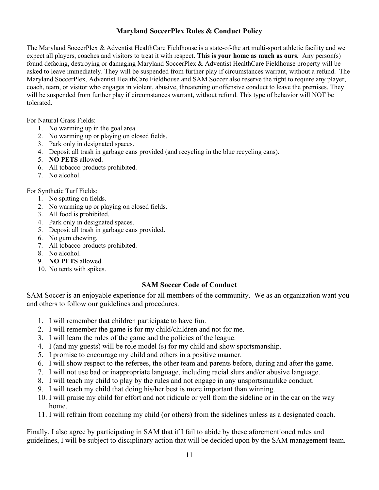## Maryland SoccerPlex Rules & Conduct Policy

The Maryland SoccerPlex & Adventist HealthCare Fieldhouse is a state-of-the art multi-sport athletic facility and we expect all players, coaches and visitors to treat it with respect. This is your home as much as ours. Any person(s) found defacing, destroying or damaging Maryland SoccerPlex & Adventist HealthCare Fieldhouse property will be asked to leave immediately. They will be suspended from further play if circumstances warrant, without a refund. The Maryland SoccerPlex, Adventist HealthCare Fieldhouse and SAM Soccer also reserve the right to require any player, coach, team, or visitor who engages in violent, abusive, threatening or offensive conduct to leave the premises. They will be suspended from further play if circumstances warrant, without refund. This type of behavior will NOT be tolerated.

For Natural Grass Fields:

- 1. No warming up in the goal area.
- 2. No warming up or playing on closed fields.
- 3. Park only in designated spaces.
- 4. Deposit all trash in garbage cans provided (and recycling in the blue recycling cans).
- 5. NO PETS allowed.
- 6. All tobacco products prohibited.
- 7. No alcohol.

For Synthetic Turf Fields:

- 1. No spitting on fields.
- 2. No warming up or playing on closed fields.
- 3. All food is prohibited.
- 4. Park only in designated spaces.
- 5. Deposit all trash in garbage cans provided.
- 6. No gum chewing.
- 7. All tobacco products prohibited.
- 8. No alcohol.
- 9. NO PETS allowed.
- 10. No tents with spikes.

## SAM Soccer Code of Conduct

SAM Soccer is an enjoyable experience for all members of the community. We as an organization want you and others to follow our guidelines and procedures.

- 1. I will remember that children participate to have fun.
- 2. I will remember the game is for my child/children and not for me.
- 3. I will learn the rules of the game and the policies of the league.
- 4. I (and my guests) will be role model (s) for my child and show sportsmanship.
- 5. I promise to encourage my child and others in a positive manner.
- 6. I will show respect to the referees, the other team and parents before, during and after the game.
- 7. I will not use bad or inappropriate language, including racial slurs and/or abusive language.
- 8. I will teach my child to play by the rules and not engage in any unsportsmanlike conduct.
- 9. I will teach my child that doing his/her best is more important than winning.
- 10. I will praise my child for effort and not ridicule or yell from the sideline or in the car on the way home.
- 11. I will refrain from coaching my child (or others) from the sidelines unless as a designated coach.

Finally, I also agree by participating in SAM that if I fail to abide by these aforementioned rules and guidelines, I will be subject to disciplinary action that will be decided upon by the SAM management team.